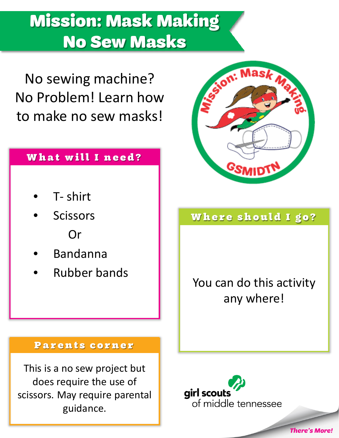# Mission: Mask Making No Sew Masks

No sewing machine? No Problem! Learn how to make no sew masks!

#### What will I need?

- T- shirt
- **Scissors** Or
- Bandanna
- Rubber bands



#### Where should I go?

You can do this activity any where!

#### Parents corner

This is a no sew project but does require the use of scissors. May require parental guidance.

airl scouts of middle tennessee

*There's More!*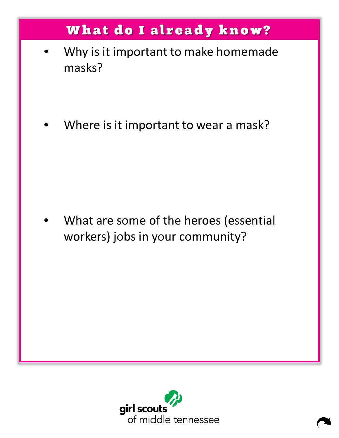## What do I already know?

- Why is it important to make homemade masks?
- Where is it important to wear a mask?

What are some of the heroes (essential workers) jobs in your community?

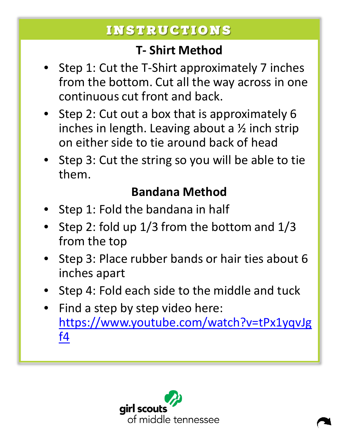### INSTRUCTIONS

#### **T- Shirt Method**

- Step 1: Cut the T-Shirt approximately 7 inches from the bottom. Cut all the way across in one continuous cut front and back.
- Step 2: Cut out a box that is approximately 6 inches in length. Leaving about a  $\frac{1}{2}$  inch strip on either side to tie around back of head
- Step 3: Cut the string so you will be able to tie them.

#### **Bandana Method**

- Step 1: Fold the bandana in half
- Step 2: fold up 1/3 from the bottom and 1/3 from the top
- Step 3: Place rubber bands or hair ties about 6 inches apart
- Step 4: Fold each side to the middle and tuck
- Find a step by step video here: [https://www.youtube.com/watch?v=tPx1yqvJg](https://www.youtube.com/watch?v=tPx1yqvJgf4) [f4](https://www.youtube.com/watch?v=tPx1yqvJgf4)

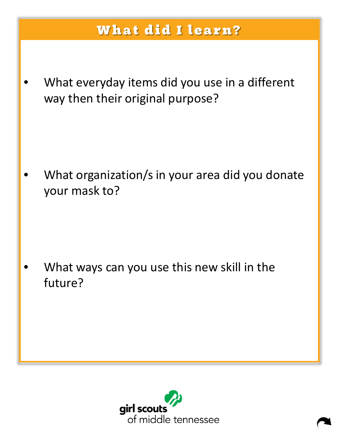### What did I learn?

What everyday items did you use in a different way then their original purpose?

What organization/s in your area did you donate your mask to?

What ways can you use this new skill in the future?